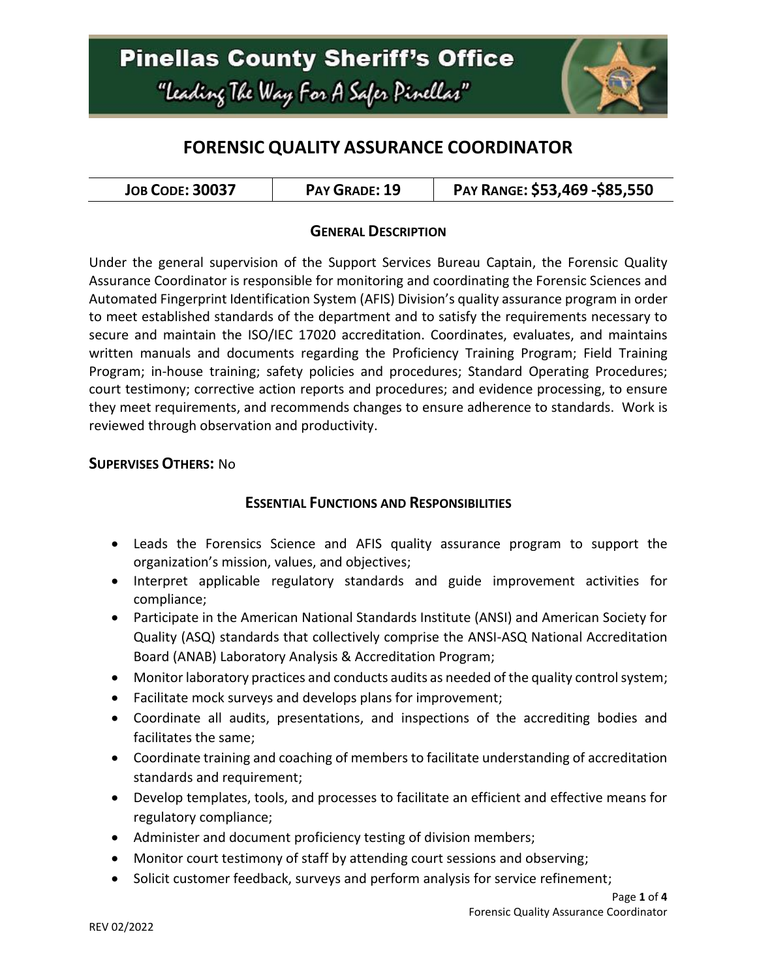

# **FORENSIC QUALITY ASSURANCE COORDINATOR**

| <b>JOB CODE: 30037</b> | PAY GRADE: 19 | PAY RANGE: \$53,469 - \$85,550 |
|------------------------|---------------|--------------------------------|
|------------------------|---------------|--------------------------------|

#### **GENERAL DESCRIPTION**

Under the general supervision of the Support Services Bureau Captain, the Forensic Quality Assurance Coordinator is responsible for monitoring and coordinating the Forensic Sciences and Automated Fingerprint Identification System (AFIS) Division's quality assurance program in order to meet established standards of the department and to satisfy the requirements necessary to secure and maintain the ISO/IEC 17020 accreditation. Coordinates, evaluates, and maintains written manuals and documents regarding the Proficiency Training Program; Field Training Program; in-house training; safety policies and procedures; Standard Operating Procedures; court testimony; corrective action reports and procedures; and evidence processing, to ensure they meet requirements, and recommends changes to ensure adherence to standards. Work is reviewed through observation and productivity.

#### **SUPERVISES OTHERS:** No

#### **ESSENTIAL FUNCTIONS AND RESPONSIBILITIES**

- Leads the Forensics Science and AFIS quality assurance program to support the organization's mission, values, and objectives;
- Interpret applicable regulatory standards and guide improvement activities for compliance;
- Participate in the American National Standards Institute (ANSI) and American Society for Quality (ASQ) standards that collectively comprise the ANSI-ASQ National Accreditation Board (ANAB) Laboratory Analysis & Accreditation Program;
- Monitor laboratory practices and conducts audits as needed of the quality control system;
- Facilitate mock surveys and develops plans for improvement;
- Coordinate all audits, presentations, and inspections of the accrediting bodies and facilitates the same;
- Coordinate training and coaching of members to facilitate understanding of accreditation standards and requirement;
- Develop templates, tools, and processes to facilitate an efficient and effective means for regulatory compliance;
- Administer and document proficiency testing of division members;
- Monitor court testimony of staff by attending court sessions and observing;
- Solicit customer feedback, surveys and perform analysis for service refinement;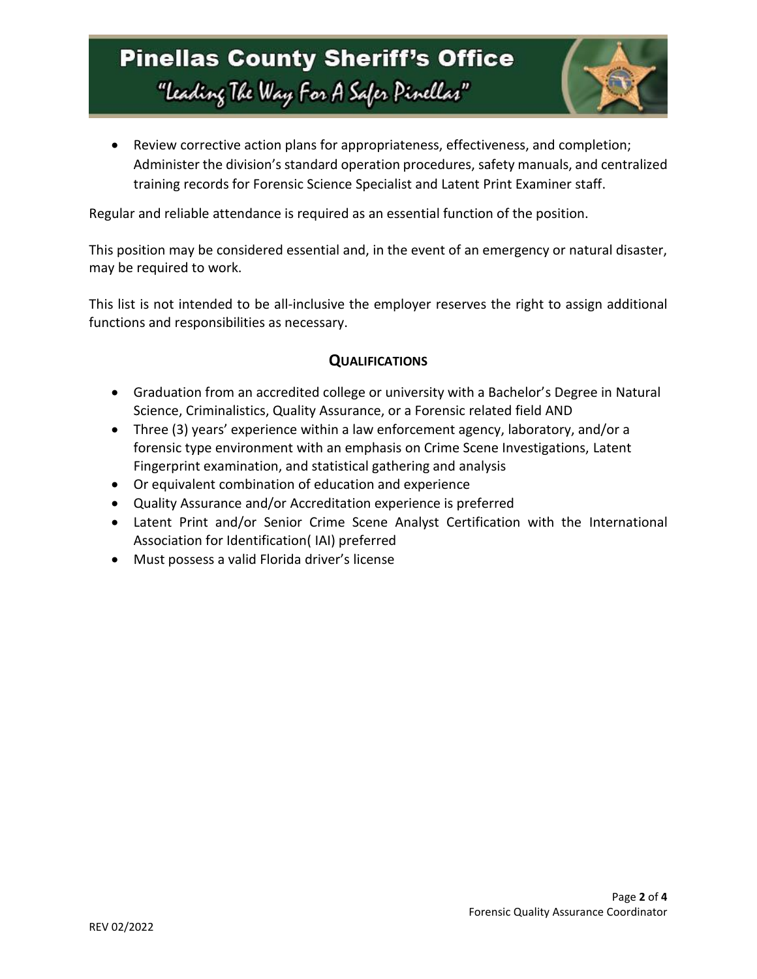# **Pinellas County Sheriff's Office** "Leading The Way For A Safer Pinellar"



 Review corrective action plans for appropriateness, effectiveness, and completion; Administer the division's standard operation procedures, safety manuals, and centralized training records for Forensic Science Specialist and Latent Print Examiner staff.

Regular and reliable attendance is required as an essential function of the position.

This position may be considered essential and, in the event of an emergency or natural disaster, may be required to work.

This list is not intended to be all-inclusive the employer reserves the right to assign additional functions and responsibilities as necessary.

## **QUALIFICATIONS**

- Graduation from an accredited college or university with a Bachelor's Degree in Natural Science, Criminalistics, Quality Assurance, or a Forensic related field AND
- Three (3) years' experience within a law enforcement agency, laboratory, and/or a forensic type environment with an emphasis on Crime Scene Investigations, Latent Fingerprint examination, and statistical gathering and analysis
- Or equivalent combination of education and experience
- Quality Assurance and/or Accreditation experience is preferred
- Latent Print and/or Senior Crime Scene Analyst Certification with the International Association for Identification( IAI) preferred
- Must possess a valid Florida driver's license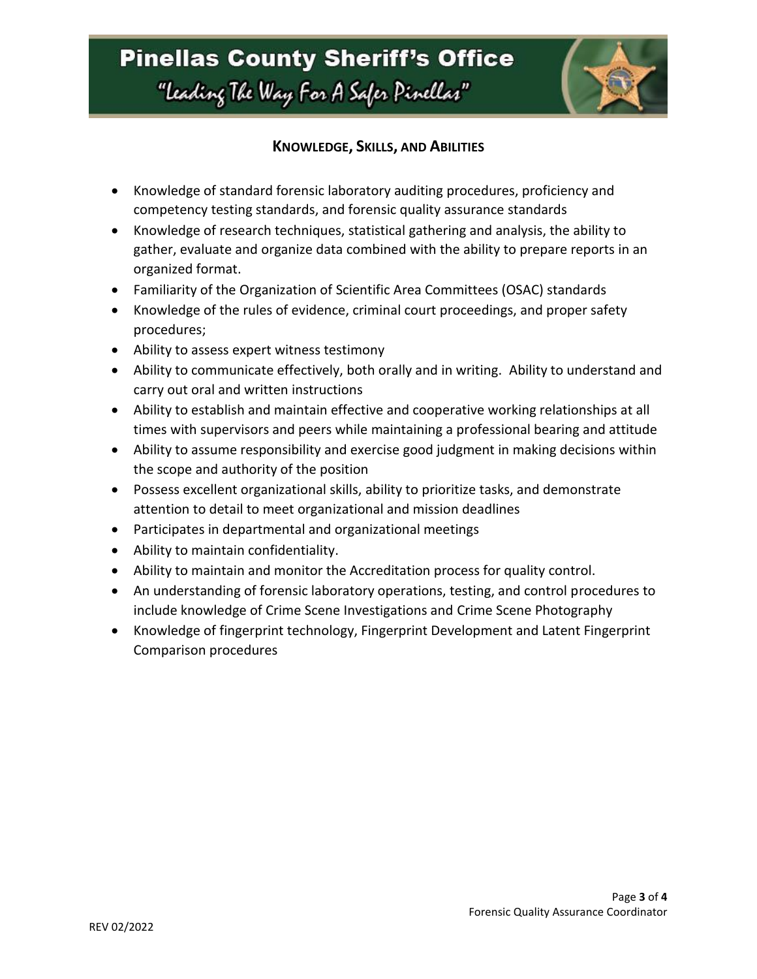

### **KNOWLEDGE, SKILLS, AND ABILITIES**

- Knowledge of standard forensic laboratory auditing procedures, proficiency and competency testing standards, and forensic quality assurance standards
- Knowledge of research techniques, statistical gathering and analysis, the ability to gather, evaluate and organize data combined with the ability to prepare reports in an organized format.
- Familiarity of the Organization of Scientific Area Committees (OSAC) standards
- Knowledge of the rules of evidence, criminal court proceedings, and proper safety procedures;
- Ability to assess expert witness testimony
- Ability to communicate effectively, both orally and in writing. Ability to understand and carry out oral and written instructions
- Ability to establish and maintain effective and cooperative working relationships at all times with supervisors and peers while maintaining a professional bearing and attitude
- Ability to assume responsibility and exercise good judgment in making decisions within the scope and authority of the position
- Possess excellent organizational skills, ability to prioritize tasks, and demonstrate attention to detail to meet organizational and mission deadlines
- Participates in departmental and organizational meetings
- Ability to maintain confidentiality.
- Ability to maintain and monitor the Accreditation process for quality control.
- An understanding of forensic laboratory operations, testing, and control procedures to include knowledge of Crime Scene Investigations and Crime Scene Photography
- Knowledge of fingerprint technology, Fingerprint Development and Latent Fingerprint Comparison procedures